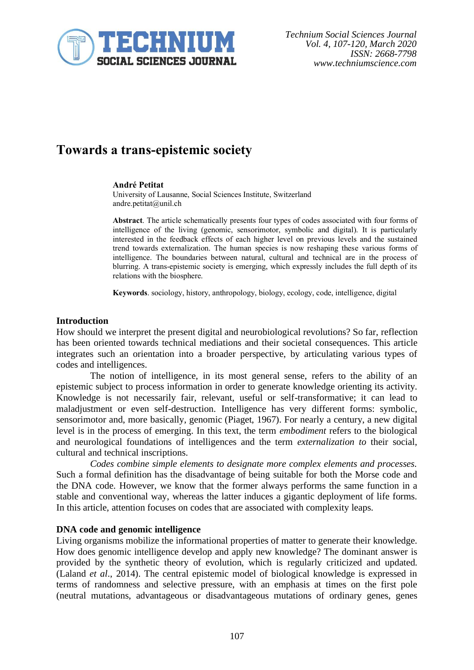

### **Towards a trans-epistemic society**

#### **André Petitat**

University of Lausanne, Social Sciences Institute, Switzerland andre.petitat@unil.ch

**Abstract**. The article schematically presents four types of codes associated with four forms of intelligence of the living (genomic, sensorimotor, symbolic and digital). It is particularly interested in the feedback effects of each higher level on previous levels and the sustained trend towards externalization. The human species is now reshaping these various forms of intelligence. The boundaries between natural, cultural and technical are in the process of blurring. A trans-epistemic society is emerging, which expressly includes the full depth of its relations with the biosphere.

**Keywords**. sociology, history, anthropology, biology, ecology, code, intelligence, digital

#### **Introduction**

How should we interpret the present digital and neurobiological revolutions? So far, reflection has been oriented towards technical mediations and their societal consequences. This article integrates such an orientation into a broader perspective, by articulating various types of codes and intelligences.

The notion of intelligence, in its most general sense, refers to the ability of an epistemic subject to process information in order to generate knowledge orienting its activity. Knowledge is not necessarily fair, relevant, useful or self-transformative; it can lead to maladjustment or even self-destruction. Intelligence has very different forms: symbolic, sensorimotor and, more basically, genomic (Piaget, 1967). For nearly a century, a new digital level is in the process of emerging. In this text, the term *embodiment* refers to the biological and neurological foundations of intelligences and the term *externalization to* their social, cultural and technical inscriptions.

*Codes combine simple elements to designate more complex elements and processes.* Such a formal definition has the disadvantage of being suitable for both the Morse code and the DNA code. However, we know that the former always performs the same function in a stable and conventional way, whereas the latter induces a gigantic deployment of life forms. In this article, attention focuses on codes that are associated with complexity leaps.

#### **DNA code and genomic intelligence**

Living organisms mobilize the informational properties of matter to generate their knowledge. How does genomic intelligence develop and apply new knowledge? The dominant answer is provided by the synthetic theory of evolution, which is regularly criticized and updated. (Laland *et al*., 2014). The central epistemic model of biological knowledge is expressed in terms of randomness and selective pressure, with an emphasis at times on the first pole (neutral mutations, advantageous or disadvantageous mutations of ordinary genes, genes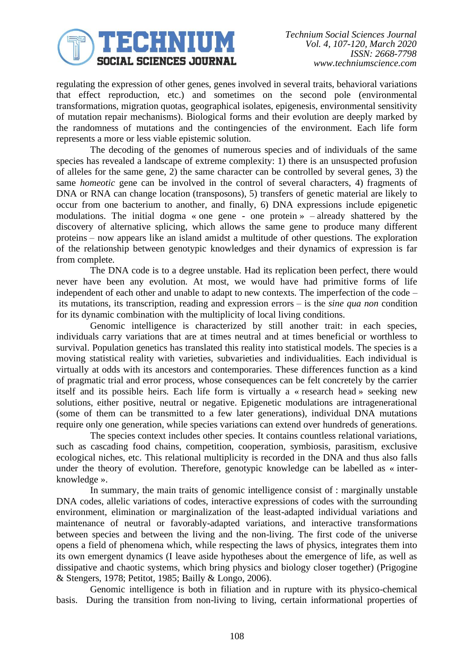## JECHNIUM **SOCIAL SCIENCES JOURNAL**

regulating the expression of other genes, genes involved in several traits, behavioral variations that effect reproduction, etc.) and sometimes on the second pole (environmental transformations, migration quotas, geographical isolates, epigenesis, environmental sensitivity of mutation repair mechanisms). Biological forms and their evolution are deeply marked by the randomness of mutations and the contingencies of the environment. Each life form represents a more or less viable epistemic solution.

The decoding of the genomes of numerous species and of individuals of the same species has revealed a landscape of extreme complexity: 1) there is an unsuspected profusion of alleles for the same gene, 2) the same character can be controlled by several genes, 3) the same *homeotic* gene can be involved in the control of several characters, 4) fragments of DNA or RNA can change location (transposons), 5) transfers of genetic material are likely to occur from one bacterium to another, and finally, 6) DNA expressions include epigenetic modulations. The initial dogma « one gene - one protein » – already shattered by the discovery of alternative splicing, which allows the same gene to produce many different proteins – now appears like an island amidst a multitude of other questions. The exploration of the relationship between genotypic knowledges and their dynamics of expression is far from complete.

The DNA code is to a degree unstable. Had its replication been perfect, there would never have been any evolution. At most, we would have had primitive forms of life independent of each other and unable to adapt to new contexts. The imperfection of the code – its mutations, its transcription, reading and expression errors – is the *sine qua non* condition for its dynamic combination with the multiplicity of local living conditions.

Genomic intelligence is characterized by still another trait: in each species, individuals carry variations that are at times neutral and at times beneficial or worthless to survival. Population genetics has translated this reality into statistical models. The species is a moving statistical reality with varieties, subvarieties and individualities. Each individual is virtually at odds with its ancestors and contemporaries. These differences function as a kind of pragmatic trial and error process, whose consequences can be felt concretely by the carrier itself and its possible heirs. Each life form is virtually a « research head » seeking new solutions, either positive, neutral or negative. Epigenetic modulations are intragenerational (some of them can be transmitted to a few later generations), individual DNA mutations require only one generation, while species variations can extend over hundreds of generations.

The species context includes other species. It contains countless relational variations, such as cascading food chains, competition, cooperation, symbiosis, parasitism, exclusive ecological niches, etc. This relational multiplicity is recorded in the DNA and thus also falls under the theory of evolution. Therefore, genotypic knowledge can be labelled as « interknowledge ».

In summary, the main traits of genomic intelligence consist of : marginally unstable DNA codes, allelic variations of codes, interactive expressions of codes with the surrounding environment, elimination or marginalization of the least-adapted individual variations and maintenance of neutral or favorably-adapted variations, and interactive transformations between species and between the living and the non-living. The first code of the universe opens a field of phenomena which, while respecting the laws of physics, integrates them into its own emergent dynamics (I leave aside hypotheses about the emergence of life, as well as dissipative and chaotic systems, which bring physics and biology closer together) (Prigogine & Stengers, 1978; Petitot, 1985; Bailly & Longo, 2006).

Genomic intelligence is both in filiation and in rupture with its physico-chemical basis. During the transition from non-living to living, certain informational properties of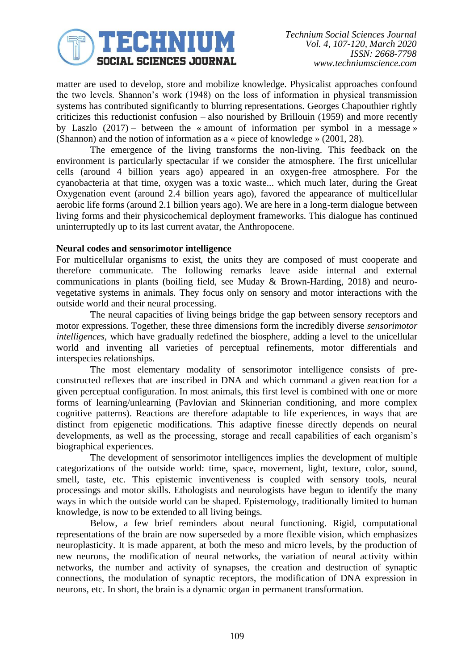

matter are used to develop, store and mobilize knowledge. Physicalist approaches confound the two levels. Shannon's work (1948) on the loss of information in physical transmission systems has contributed significantly to blurring representations. Georges Chapouthier rightly criticizes this reductionist confusion – also nourished by Brillouin (1959) and more recently by Laszlo  $(2017)$  – between the « amount of information per symbol in a message » (Shannon) and the notion of information as a « piece of knowledge » (2001, 28).

The emergence of the living transforms the non-living. This feedback on the environment is particularly spectacular if we consider the atmosphere. The first unicellular cells (around 4 billion years ago) appeared in an oxygen-free atmosphere. For the cyanobacteria at that time, oxygen was a toxic waste... which much later, during the Great Oxygenation event (around 2.4 billion years ago), favored the appearance of multicellular aerobic life forms (around 2.1 billion years ago). We are here in a long-term dialogue between living forms and their physicochemical deployment frameworks. This dialogue has continued uninterruptedly up to its last current avatar, the Anthropocene.

#### **Neural codes and sensorimotor intelligence**

For multicellular organisms to exist, the units they are composed of must cooperate and therefore communicate. The following remarks leave aside internal and external communications in plants (boiling field, see Muday & Brown-Harding, 2018) and neurovegetative systems in animals. They focus only on sensory and motor interactions with the outside world and their neural processing.

The neural capacities of living beings bridge the gap between sensory receptors and motor expressions. Together, these three dimensions form the incredibly diverse *sensorimotor intelligences*, which have gradually redefined the biosphere, adding a level to the unicellular world and inventing all varieties of perceptual refinements, motor differentials and interspecies relationships.

The most elementary modality of sensorimotor intelligence consists of preconstructed reflexes that are inscribed in DNA and which command a given reaction for a given perceptual configuration. In most animals, this first level is combined with one or more forms of learning/unlearning (Pavlovian and Skinnerian conditioning, and more complex cognitive patterns). Reactions are therefore adaptable to life experiences, in ways that are distinct from epigenetic modifications. This adaptive finesse directly depends on neural developments, as well as the processing, storage and recall capabilities of each organism's biographical experiences.

The development of sensorimotor intelligences implies the development of multiple categorizations of the outside world: time, space, movement, light, texture, color, sound, smell, taste, etc. This epistemic inventiveness is coupled with sensory tools, neural processings and motor skills. Ethologists and neurologists have begun to identify the many ways in which the outside world can be shaped. Epistemology, traditionally limited to human knowledge, is now to be extended to all living beings.

Below, a few brief reminders about neural functioning. Rigid, computational representations of the brain are now superseded by a more flexible vision, which emphasizes neuroplasticity. It is made apparent, at both the meso and micro levels, by the production of new neurons, the modification of neural networks, the variation of neural activity within networks, the number and activity of synapses, the creation and destruction of synaptic connections, the modulation of synaptic receptors, the modification of DNA expression in neurons, etc. In short, the brain is a dynamic organ in permanent transformation.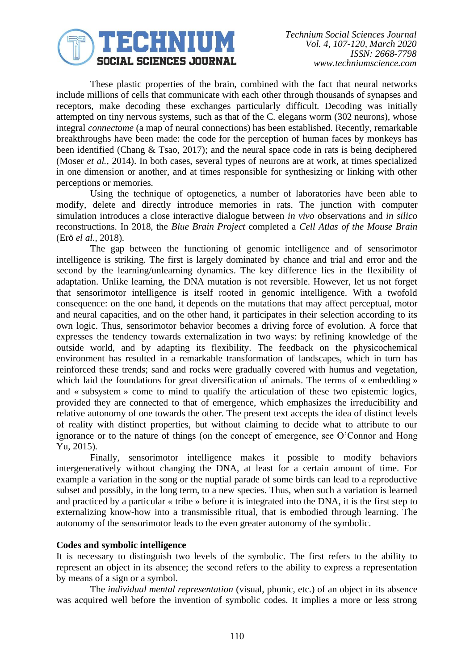

These plastic properties of the brain, combined with the fact that neural networks include millions of cells that communicate with each other through thousands of synapses and receptors, make decoding these exchanges particularly difficult. Decoding was initially attempted on tiny nervous systems, such as that of the C. elegans worm (302 neurons), whose integral *connectome* (a map of neural connections) has been established. Recently, remarkable breakthroughs have been made: the code for the perception of human faces by monkeys has been identified (Chang & Tsao, 2017); and the neural space code in rats is being deciphered (Moser *et al.*, 2014). In both cases, several types of neurons are at work, at times specialized in one dimension or another, and at times responsible for synthesizing or linking with other perceptions or memories.

Using the technique of optogenetics, a number of laboratories have been able to modify, delete and directly introduce memories in rats. The junction with computer simulation introduces a close interactive dialogue between *in vivo* observations and *in silico* reconstructions. In 2018, the *Blue Brain Project* completed a *Cell Atlas of the Mouse Brain* (Erö *el al.,* 2018).

The gap between the functioning of genomic intelligence and of sensorimotor intelligence is striking. The first is largely dominated by chance and trial and error and the second by the learning/unlearning dynamics. The key difference lies in the flexibility of adaptation. Unlike learning, the DNA mutation is not reversible. However, let us not forget that sensorimotor intelligence is itself rooted in genomic intelligence. With a twofold consequence: on the one hand, it depends on the mutations that may affect perceptual, motor and neural capacities, and on the other hand, it participates in their selection according to its own logic. Thus, sensorimotor behavior becomes a driving force of evolution. A force that expresses the tendency towards externalization in two ways: by refining knowledge of the outside world, and by adapting its flexibility. The feedback on the physicochemical environment has resulted in a remarkable transformation of landscapes, which in turn has reinforced these trends; sand and rocks were gradually covered with humus and vegetation, which laid the foundations for great diversification of animals. The terms of « embedding » and « subsystem » come to mind to qualify the articulation of these two epistemic logics, provided they are connected to that of emergence, which emphasizes the irreducibility and relative autonomy of one towards the other. The present text accepts the idea of distinct levels of reality with distinct properties, but without claiming to decide what to attribute to our ignorance or to the nature of things (on the concept of emergence, see O'Connor and Hong Yu, 2015).

Finally, sensorimotor intelligence makes it possible to modify behaviors intergeneratively without changing the DNA, at least for a certain amount of time. For example a variation in the song or the nuptial parade of some birds can lead to a reproductive subset and possibly, in the long term, to a new species. Thus, when such a variation is learned and practiced by a particular « tribe » before it is integrated into the DNA, it is the first step to externalizing know-how into a transmissible ritual, that is embodied through learning. The autonomy of the sensorimotor leads to the even greater autonomy of the symbolic.

#### **Codes and symbolic intelligence**

It is necessary to distinguish two levels of the symbolic. The first refers to the ability to represent an object in its absence; the second refers to the ability to express a representation by means of a sign or a symbol.

The *individual mental representation* (visual, phonic, etc.) of an object in its absence was acquired well before the invention of symbolic codes. It implies a more or less strong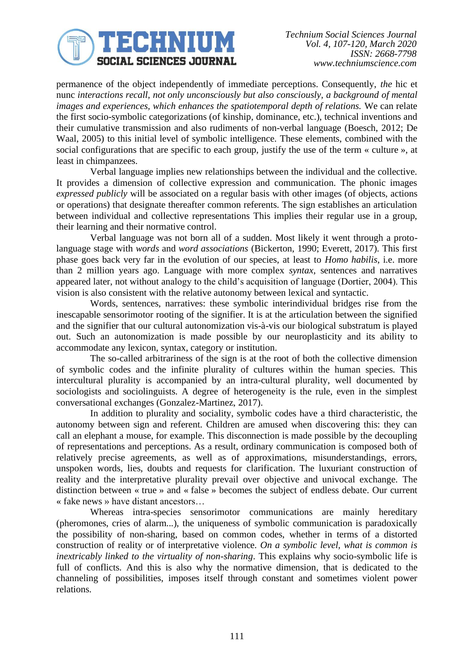

permanence of the object independently of immediate perceptions. Consequently, *the* hic et nunc *interactions recall, not only unconsciously but also consciously, a background of mental images and experiences, which enhances the spatiotemporal depth of relations.* We can relate the first socio-symbolic categorizations (of kinship, dominance, etc.), technical inventions and their cumulative transmission and also rudiments of non-verbal language (Boesch, 2012; De Waal, 2005) to this initial level of symbolic intelligence. These elements, combined with the social configurations that are specific to each group, justify the use of the term « culture », at least in chimpanzees.

Verbal language implies new relationships between the individual and the collective. It provides a dimension of collective expression and communication. The phonic images *expressed publicly* will be associated on a regular basis with other images (of objects, actions or operations) that designate thereafter common referents. The sign establishes an articulation between individual and collective representations This implies their regular use in a group, their learning and their normative control.

Verbal language was not born all of a sudden. Most likely it went through a protolanguage stage with *words* and *word associations* (Bickerton, 1990; Everett, 2017). This first phase goes back very far in the evolution of our species, at least to *Homo habilis*, i.e. more than 2 million years ago. Language with more complex *syntax*, sentences and narratives appeared later, not without analogy to the child's acquisition of language (Dortier, 2004). This vision is also consistent with the relative autonomy between lexical and syntactic.

Words, sentences, narratives: these symbolic interindividual bridges rise from the inescapable sensorimotor rooting of the signifier. It is at the articulation between the signified and the signifier that our cultural autonomization vis-à-vis our biological substratum is played out. Such an autonomization is made possible by our neuroplasticity and its ability to accommodate any lexicon, syntax, category or institution.

The so-called arbitrariness of the sign is at the root of both the collective dimension of symbolic codes and the infinite plurality of cultures within the human species. This intercultural plurality is accompanied by an intra-cultural plurality, well documented by sociologists and sociolinguists. A degree of heterogeneity is the rule, even in the simplest conversational exchanges (Gonzalez-Martinez, 2017).

In addition to plurality and sociality, symbolic codes have a third characteristic, the autonomy between sign and referent. Children are amused when discovering this: they can call an elephant a mouse, for example. This disconnection is made possible by the decoupling of representations and perceptions. As a result, ordinary communication is composed both of relatively precise agreements, as well as of approximations, misunderstandings, errors, unspoken words, lies, doubts and requests for clarification. The luxuriant construction of reality and the interpretative plurality prevail over objective and univocal exchange. The distinction between « true » and « false » becomes the subject of endless debate. Our current « fake news » have distant ancestors…

Whereas intra-species sensorimotor communications are mainly hereditary (pheromones, cries of alarm...), the uniqueness of symbolic communication is paradoxically the possibility of non-sharing, based on common codes, whether in terms of a distorted construction of reality or of interpretative violence. *On a symbolic level, what is common is inextricably linked to the virtuality of non-sharing*. This explains why socio-symbolic life is full of conflicts. And this is also why the normative dimension, that is dedicated to the channeling of possibilities, imposes itself through constant and sometimes violent power relations.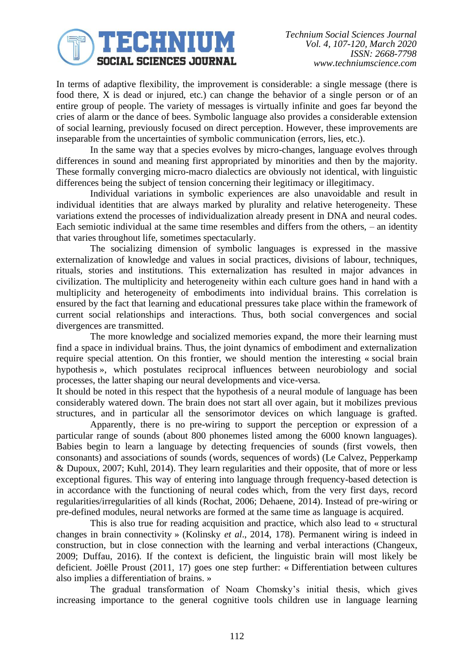# JECHNIUM **SOCIAL SCIENCES JOURNAL**

In terms of adaptive flexibility, the improvement is considerable: a single message (there is food there, X is dead or injured, etc.) can change the behavior of a single person or of an entire group of people. The variety of messages is virtually infinite and goes far beyond the cries of alarm or the dance of bees. Symbolic language also provides a considerable extension of social learning, previously focused on direct perception. However, these improvements are inseparable from the uncertainties of symbolic communication (errors, lies, etc.).

In the same way that a species evolves by micro-changes, language evolves through differences in sound and meaning first appropriated by minorities and then by the majority. These formally converging micro-macro dialectics are obviously not identical, with linguistic differences being the subject of tension concerning their legitimacy or illegitimacy.

Individual variations in symbolic experiences are also unavoidable and result in individual identities that are always marked by plurality and relative heterogeneity. These variations extend the processes of individualization already present in DNA and neural codes. Each semiotic individual at the same time resembles and differs from the others, – an identity that varies throughout life, sometimes spectacularly.

The socializing dimension of symbolic languages is expressed in the massive externalization of knowledge and values in social practices, divisions of labour, techniques, rituals, stories and institutions. This externalization has resulted in major advances in civilization. The multiplicity and heterogeneity within each culture goes hand in hand with a multiplicity and heterogeneity of embodiments into individual brains. This correlation is ensured by the fact that learning and educational pressures take place within the framework of current social relationships and interactions. Thus, both social convergences and social divergences are transmitted.

The more knowledge and socialized memories expand, the more their learning must find a space in individual brains. Thus, the joint dynamics of embodiment and externalization require special attention. On this frontier, we should mention the interesting « social brain hypothesis », which postulates reciprocal influences between neurobiology and social processes, the latter shaping our neural developments and vice-versa.

It should be noted in this respect that the hypothesis of a neural module of language has been considerably watered down. The brain does not start all over again, but it mobilizes previous structures, and in particular all the sensorimotor devices on which language is grafted.

Apparently, there is no pre-wiring to support the perception or expression of a particular range of sounds (about 800 phonemes listed among the 6000 known languages). Babies begin to learn a language by detecting frequencies of sounds (first vowels, then consonants) and associations of sounds (words, sequences of words) (Le Calvez, Pepperkamp & Dupoux, 2007; Kuhl, 2014). They learn regularities and their opposite, that of more or less exceptional figures. This way of entering into language through frequency-based detection is in accordance with the functioning of neural codes which, from the very first days, record regularities/irregularities of all kinds (Rochat, 2006; Dehaene, 2014). Instead of pre-wiring or pre-defined modules, neural networks are formed at the same time as language is acquired.

This is also true for reading acquisition and practice, which also lead to « structural changes in brain connectivity » (Kolinsky *et al*., 2014, 178). Permanent wiring is indeed in construction, but in close connection with the learning and verbal interactions (Changeux, 2009; Duffau, 2016). If the context is deficient, the linguistic brain will most likely be deficient. Joëlle Proust (2011, 17) goes one step further: « Differentiation between cultures also implies a differentiation of brains. »

The gradual transformation of Noam Chomsky's initial thesis, which gives increasing importance to the general cognitive tools children use in language learning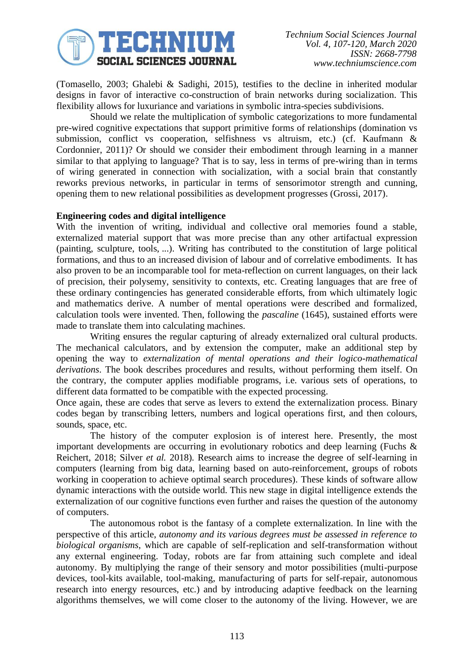

(Tomasello, 2003; Ghalebi & Sadighi, 2015), testifies to the decline in inherited modular designs in favor of interactive co-construction of brain networks during socialization. This flexibility allows for luxuriance and variations in symbolic intra-species subdivisions.

Should we relate the multiplication of symbolic categorizations to more fundamental pre-wired cognitive expectations that support primitive forms of relationships (domination vs submission, conflict vs cooperation, selfishness vs altruism, etc.) (cf. Kaufmann & Cordonnier, 2011)? Or should we consider their embodiment through learning in a manner similar to that applying to language? That is to say, less in terms of pre-wiring than in terms of wiring generated in connection with socialization, with a social brain that constantly reworks previous networks, in particular in terms of sensorimotor strength and cunning, opening them to new relational possibilities as development progresses (Grossi, 2017).

#### **Engineering codes and digital intelligence**

With the invention of writing, individual and collective oral memories found a stable, externalized material support that was more precise than any other artifactual expression (painting, sculpture, tools, ...). Writing has contributed to the constitution of large political formations, and thus to an increased division of labour and of correlative embodiments. It has also proven to be an incomparable tool for meta-reflection on current languages, on their lack of precision, their polysemy, sensitivity to contexts, etc. Creating languages that are free of these ordinary contingencies has generated considerable efforts, from which ultimately logic and mathematics derive. A number of mental operations were described and formalized, calculation tools were invented. Then, following the *pascaline* (1645), sustained efforts were made to translate them into calculating machines.

Writing ensures the regular capturing of already externalized oral cultural products. The mechanical calculators, and by extension the computer, make an additional step by opening the way to *externalization of mental operations and their logico-mathematical derivations*. The book describes procedures and results, without performing them itself. On the contrary, the computer applies modifiable programs, i.e. various sets of operations, to different data formatted to be compatible with the expected processing.

Once again, these are codes that serve as levers to extend the externalization process. Binary codes began by transcribing letters, numbers and logical operations first, and then colours, sounds, space, etc.

The history of the computer explosion is of interest here. Presently, the most important developments are occurring in evolutionary robotics and deep learning (Fuchs & Reichert, 2018; Silver *et al.* 2018). Research aims to increase the degree of self-learning in computers (learning from big data, learning based on auto-reinforcement, groups of robots working in cooperation to achieve optimal search procedures). These kinds of software allow dynamic interactions with the outside world. This new stage in digital intelligence extends the externalization of our cognitive functions even further and raises the question of the autonomy of computers.

The autonomous robot is the fantasy of a complete externalization. In line with the perspective of this article, *autonomy and its various degrees must be assessed in reference to biological organisms*, which are capable of self-replication and self-transformation without any external engineering. Today, robots are far from attaining such complete and ideal autonomy. By multiplying the range of their sensory and motor possibilities (multi-purpose devices, tool-kits available, tool-making, manufacturing of parts for self-repair, autonomous research into energy resources, etc.) and by introducing adaptive feedback on the learning algorithms themselves, we will come closer to the autonomy of the living. However, we are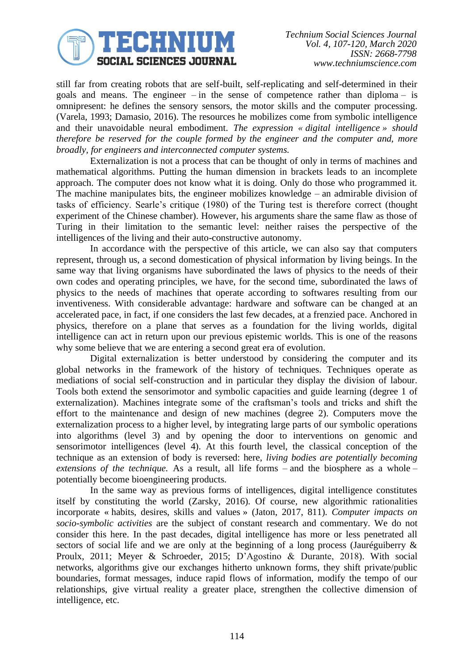

*Technium Social Sciences Journal Vol. 4, 107-120, March 2020 ISSN: 2668-7798 www.techniumscience.com*

still far from creating robots that are self-built, self-replicating and self-determined in their goals and means. The engineer – in the sense of competence rather than diploma – is omnipresent: he defines the sensory sensors, the motor skills and the computer processing. (Varela, 1993; Damasio, 2016). The resources he mobilizes come from symbolic intelligence and their unavoidable neural embodiment. *The expression « digital intelligence » should therefore be reserved for the couple formed by the engineer and the computer and, more broadly, for engineers and interconnected computer systems.*

Externalization is not a process that can be thought of only in terms of machines and mathematical algorithms. Putting the human dimension in brackets leads to an incomplete approach. The computer does not know what it is doing. Only do those who programmed it. The machine manipulates bits, the engineer mobilizes knowledge – an admirable division of tasks of efficiency. Searle's critique (1980) of the Turing test is therefore correct (thought experiment of the Chinese chamber). However, his arguments share the same flaw as those of Turing in their limitation to the semantic level: neither raises the perspective of the intelligences of the living and their auto-constructive autonomy.

In accordance with the perspective of this article, we can also say that computers represent, through us, a second domestication of physical information by living beings. In the same way that living organisms have subordinated the laws of physics to the needs of their own codes and operating principles, we have, for the second time, subordinated the laws of physics to the needs of machines that operate according to softwares resulting from our inventiveness. With considerable advantage: hardware and software can be changed at an accelerated pace, in fact, if one considers the last few decades, at a frenzied pace. Anchored in physics, therefore on a plane that serves as a foundation for the living worlds, digital intelligence can act in return upon our previous epistemic worlds. This is one of the reasons why some believe that we are entering a second great era of evolution.

Digital externalization is better understood by considering the computer and its global networks in the framework of the history of techniques. Techniques operate as mediations of social self-construction and in particular they display the division of labour. Tools both extend the sensorimotor and symbolic capacities and guide learning (degree 1 of externalization). Machines integrate some of the craftsman's tools and tricks and shift the effort to the maintenance and design of new machines (degree 2). Computers move the externalization process to a higher level, by integrating large parts of our symbolic operations into algorithms (level 3) and by opening the door to interventions on genomic and sensorimotor intelligences (level 4). At this fourth level, the classical conception of the technique as an extension of body is reversed: here, *living bodies are potentially becoming extensions of the technique.* As a result, all life forms – and the biosphere as a whole – potentially become bioengineering products.

In the same way as previous forms of intelligences, digital intelligence constitutes itself by constituting the world (Zarsky, 2016). Of course, new algorithmic rationalities incorporate « habits, desires, skills and values » (Jaton, 2017, 811). *Computer impacts on socio-symbolic activities* are the subject of constant research and commentary. We do not consider this here. In the past decades, digital intelligence has more or less penetrated all sectors of social life and we are only at the beginning of a long process (Jauréguiberry & Proulx, 2011; Meyer & Schroeder, 2015; D'Agostino & Durante, 2018). With social networks, algorithms give our exchanges hitherto unknown forms, they shift private/public boundaries, format messages, induce rapid flows of information, modify the tempo of our relationships, give virtual reality a greater place, strengthen the collective dimension of intelligence, etc.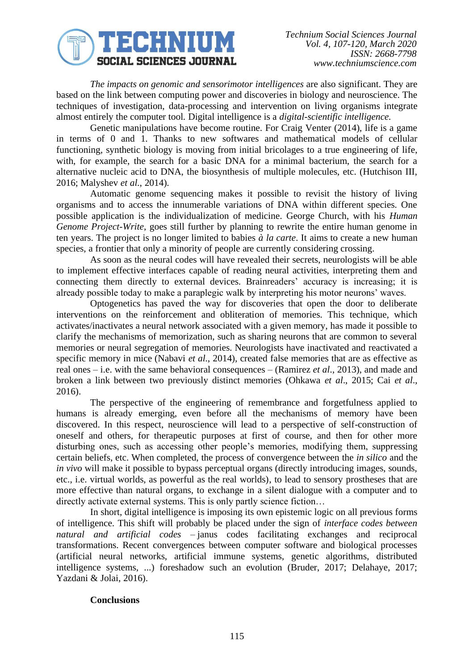

*The impacts on genomic and sensorimotor intelligences* are also significant. They are based on the link between computing power and discoveries in biology and neuroscience. The techniques of investigation, data-processing and intervention on living organisms integrate almost entirely the computer tool. Digital intelligence is a *digital-scientific intelligence.*

Genetic manipulations have become routine. For Craig Venter (2014), life is a game in terms of 0 and 1. Thanks to new softwares and mathematical models of cellular functioning, synthetic biology is moving from initial bricolages to a true engineering of life, with, for example, the search for a basic DNA for a minimal bacterium, the search for a alternative nucleic acid to DNA, the biosynthesis of multiple molecules, etc. (Hutchison III, 2016; Malyshev *et al.*, 2014).

Automatic genome sequencing makes it possible to revisit the history of living organisms and to access the innumerable variations of DNA within different species. One possible application is the individualization of medicine. George Church, with his *Human Genome Project-Write*, goes still further by planning to rewrite the entire human genome in ten years. The project is no longer limited to babies *à la carte*. It aims to create a new human species, a frontier that only a minority of people are currently considering crossing.

As soon as the neural codes will have revealed their secrets, neurologists will be able to implement effective interfaces capable of reading neural activities, interpreting them and connecting them directly to external devices. Brainreaders' accuracy is increasing; it is already possible today to make a paraplegic walk by interpreting his motor neurons' waves.

Optogenetics has paved the way for discoveries that open the door to deliberate interventions on the reinforcement and obliteration of memories. This technique, which activates/inactivates a neural network associated with a given memory, has made it possible to clarify the mechanisms of memorization, such as sharing neurons that are common to several memories or neural segregation of memories. Neurologists have inactivated and reactivated a specific memory in mice (Nabavi *et al*., 2014), created false memories that are as effective as real ones – i.e. with the same behavioral consequences – (Ramirez *et al*., 2013), and made and broken a link between two previously distinct memories (Ohkawa *et al*., 2015; Cai *et al*., 2016).

The perspective of the engineering of remembrance and forgetfulness applied to humans is already emerging, even before all the mechanisms of memory have been discovered. In this respect, neuroscience will lead to a perspective of self-construction of oneself and others, for therapeutic purposes at first of course, and then for other more disturbing ones, such as accessing other people's memories, modifying them, suppressing certain beliefs, etc. When completed, the process of convergence between the *in silico* and the *in vivo* will make it possible to bypass perceptual organs (directly introducing images, sounds, etc., i.e. virtual worlds, as powerful as the real worlds), to lead to sensory prostheses that are more effective than natural organs, to exchange in a silent dialogue with a computer and to directly activate external systems. This is only partly science fiction…

In short, digital intelligence is imposing its own epistemic logic on all previous forms of intelligence. This shift will probably be placed under the sign of *interface codes between natural and artificial codes* – janus codes facilitating exchanges and reciprocal transformations. Recent convergences between computer software and biological processes (artificial neural networks, artificial immune systems, genetic algorithms, distributed intelligence systems, ...) foreshadow such an evolution (Bruder, 2017; Delahaye, 2017; Yazdani & Jolai, 2016).

### **Conclusions**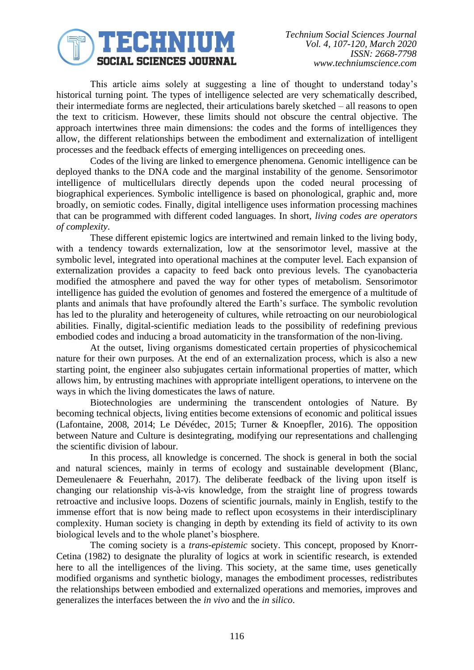

*Technium Social Sciences Journal Vol. 4, 107-120, March 2020 ISSN: 2668-7798 www.techniumscience.com*

This article aims solely at suggesting a line of thought to understand today's historical turning point. The types of intelligence selected are very schematically described, their intermediate forms are neglected, their articulations barely sketched – all reasons to open the text to criticism. However, these limits should not obscure the central objective. The approach intertwines three main dimensions: the codes and the forms of intelligences they allow, the different relationships between the embodiment and externalization of intelligent processes and the feedback effects of emerging intelligences on preceeding ones.

Codes of the living are linked to emergence phenomena. Genomic intelligence can be deployed thanks to the DNA code and the marginal instability of the genome. Sensorimotor intelligence of multicellulars directly depends upon the coded neural processing of biographical experiences. Symbolic intelligence is based on phonological, graphic and, more broadly, on semiotic codes. Finally, digital intelligence uses information processing machines that can be programmed with different coded languages. In short, *living codes are operators of complexity*.

These different epistemic logics are intertwined and remain linked to the living body, with a tendency towards externalization, low at the sensorimotor level, massive at the symbolic level, integrated into operational machines at the computer level. Each expansion of externalization provides a capacity to feed back onto previous levels. The cyanobacteria modified the atmosphere and paved the way for other types of metabolism. Sensorimotor intelligence has guided the evolution of genomes and fostered the emergence of a multitude of plants and animals that have profoundly altered the Earth's surface. The symbolic revolution has led to the plurality and heterogeneity of cultures, while retroacting on our neurobiological abilities. Finally, digital-scientific mediation leads to the possibility of redefining previous embodied codes and inducing a broad automaticity in the transformation of the non-living.

At the outset, living organisms domesticated certain properties of physicochemical nature for their own purposes. At the end of an externalization process, which is also a new starting point, the engineer also subjugates certain informational properties of matter, which allows him, by entrusting machines with appropriate intelligent operations, to intervene on the ways in which the living domesticates the laws of nature.

Biotechnologies are undermining the transcendent ontologies of Nature. By becoming technical objects, living entities become extensions of economic and political issues (Lafontaine, 2008, 2014; Le Dévédec, 2015; Turner & Knoepfler, 2016). The opposition between Nature and Culture is desintegrating, modifying our representations and challenging the scientific division of labour.

In this process, all knowledge is concerned. The shock is general in both the social and natural sciences, mainly in terms of ecology and sustainable development (Blanc, Demeulenaere & Feuerhahn, 2017). The deliberate feedback of the living upon itself is changing our relationship vis-à-vis knowledge, from the straight line of progress towards retroactive and inclusive loops. Dozens of scientific journals, mainly in English, testify to the immense effort that is now being made to reflect upon ecosystems in their interdisciplinary complexity. Human society is changing in depth by extending its field of activity to its own biological levels and to the whole planet's biosphere.

The coming society is a *trans-epistemic* society. This concept, proposed by Knorr-Cetina (1982) to designate the plurality of logics at work in scientific research, is extended here to all the intelligences of the living. This society, at the same time, uses genetically modified organisms and synthetic biology, manages the embodiment processes, redistributes the relationships between embodied and externalized operations and memories, improves and generalizes the interfaces between the *in vivo* and the *in silico*.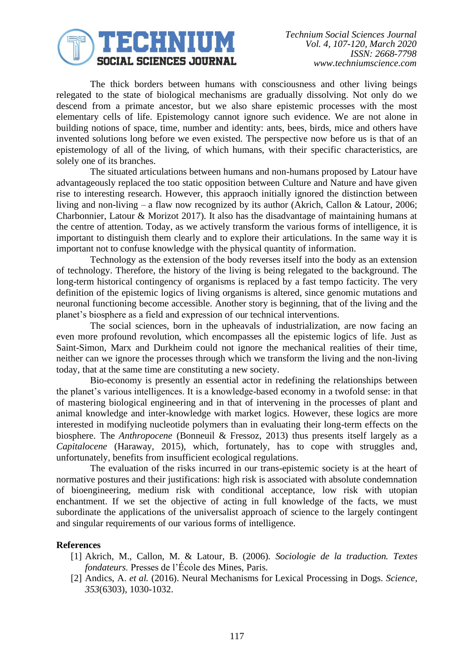

The thick borders between humans with consciousness and other living beings relegated to the state of biological mechanisms are gradually dissolving. Not only do we descend from a primate ancestor, but we also share epistemic processes with the most elementary cells of life. Epistemology cannot ignore such evidence. We are not alone in building notions of space, time, number and identity: ants, bees, birds, mice and others have invented solutions long before we even existed. The perspective now before us is that of an epistemology of all of the living, of which humans, with their specific characteristics, are solely one of its branches.

The situated articulations between humans and non-humans proposed by Latour have advantageously replaced the too static opposition between Culture and Nature and have given rise to interesting research. However, this appraoch initially ignored the distinction between living and non-living – a flaw now recognized by its author (Akrich, Callon & Latour, 2006; Charbonnier, Latour & Morizot 2017). It also has the disadvantage of maintaining humans at the centre of attention. Today, as we actively transform the various forms of intelligence, it is important to distinguish them clearly and to explore their articulations. In the same way it is important not to confuse knowledge with the physical quantity of information.

Technology as the extension of the body reverses itself into the body as an extension of technology. Therefore, the history of the living is being relegated to the background. The long-term historical contingency of organisms is replaced by a fast tempo facticity. The very definition of the epistemic logics of living organisms is altered, since genomic mutations and neuronal functioning become accessible. Another story is beginning, that of the living and the planet's biosphere as a field and expression of our technical interventions.

The social sciences, born in the upheavals of industrialization, are now facing an even more profound revolution, which encompasses all the epistemic logics of life. Just as Saint-Simon, Marx and Durkheim could not ignore the mechanical realities of their time, neither can we ignore the processes through which we transform the living and the non-living today, that at the same time are constituting a new society.

Bio-economy is presently an essential actor in redefining the relationships between the planet's various intelligences. It is a knowledge-based economy in a twofold sense: in that of mastering biological engineering and in that of intervening in the processes of plant and animal knowledge and inter-knowledge with market logics. However, these logics are more interested in modifying nucleotide polymers than in evaluating their long-term effects on the biosphere. The *Anthropocene* (Bonneuil & Fressoz, 2013) thus presents itself largely as a *Capitalocene* (Haraway, 2015), which, fortunately, has to cope with struggles and, unfortunately, benefits from insufficient ecological regulations.

The evaluation of the risks incurred in our trans-epistemic society is at the heart of normative postures and their justifications: high risk is associated with absolute condemnation of bioengineering, medium risk with conditional acceptance, low risk with utopian enchantment. If we set the objective of acting in full knowledge of the facts, we must subordinate the applications of the universalist approach of science to the largely contingent and singular requirements of our various forms of intelligence.

#### **References**

- [1] Akrich, M., Callon, M. & Latour, B. (2006). *Sociologie de la traduction. Textes fondateurs*. Presses de l'École des Mines, Paris.
- [2] Andics, A. *et al.* (2016). Neural Mechanisms for Lexical Processing in Dogs. *Science, 353*(6303), 1030-1032.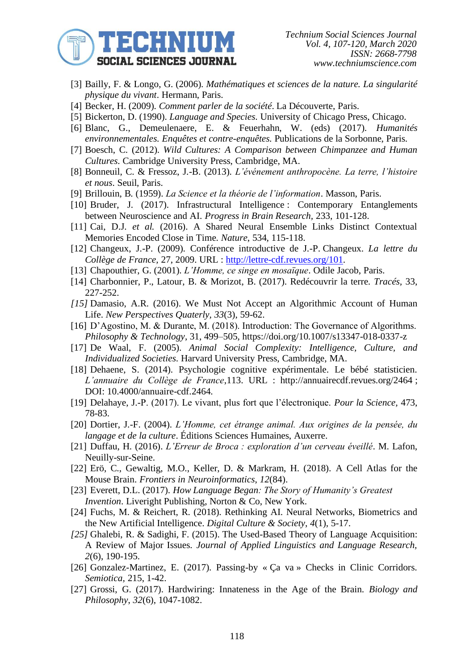

*Technium Social Sciences Journal Vol. 4, 107-120, March 2020 ISSN: 2668-7798 www.techniumscience.com*

- [3] Bailly, F. & Longo, G. (2006). *Mathématiques et sciences de la nature. La singularité physique du vivant*. Hermann, Paris.
- [4] Becker, H. (2009). *Comment parler de la société*. La Découverte, Paris.
- [5] Bickerton, D. (1990). *Language and Species*. University of Chicago Press, Chicago.
- [6] Blanc, G., Demeulenaere, E. & Feuerhahn, W. (eds) (2017). *Humanités environnementales. Enquêtes et contre-enquêtes.* Publications de la Sorbonne, Paris.
- [7] Boesch, C. (2012). *Wild Cultures: A Comparison between Chimpanzee and Human Cultures*. Cambridge University Press, Cambridge, MA.
- [8] Bonneuil, C. & Fressoz, J.-B. (2013). *L'événement anthropocène. La terre, l'histoire et nous*. Seuil, Paris.
- [9] Brillouin, B. (1959). *La Science et la théorie de l'information*. Masson, Paris.
- [10] Bruder, J. (2017). Infrastructural Intelligence : Contemporary Entanglements between Neuroscience and AI. *Progress in Brain Research,* 233, 101-128.
- [11] Cai, D.J. *et al.* (2016). A Shared Neural Ensemble Links Distinct Contextual Memories Encoded Close in Time. *Nature*, 534, 115-118.
- [12] Changeux, J.-P. (2009). Conférence introductive de J.-P. Changeux. *La lettre du Collège de France,* 27, 2009. URL : [http://lettre-cdf.revues.org/101.](http://lettre-cdf.revues.org/101)
- [13] Chapouthier, G. (2001). *L'Homme, ce singe en mosaïque*. Odile Jacob, Paris.
- [14] Charbonnier, P., Latour, B. & Morizot, B. (2017). Redécouvrir la terre. *Tracés,* 33, 227-252.
- *[15]* Damasio, A.R. (2016). We Must Not Accept an Algorithmic Account of Human Life. *New Perspectives Quaterly, 33*(3), 59-62.
- [16] D'Agostino, M. & Durante, M. (2018). Introduction: The Governance of Algorithms. *Philosophy & Technology*, 31, 499–505, https://doi.org/10.1007/s13347-018-0337-z
- [17] De Waal, F. (2005). *Animal Social Complexity: Intelligence, Culture, and Individualized Societies*. Harvard University Press, Cambridge, MA.
- [18] Dehaene, S. (2014). Psychologie cognitive expérimentale. Le bébé statisticien. *L'annuaire du Collège de France*,113. URL : http://annuairecdf.revues.org/2464 ; DOI: 10.4000/annuaire-cdf.2464.
- [19] Delahaye, J.-P. (2017). Le vivant, plus fort que l'électronique. *Pour la Science,* 473, 78-83.
- [20] Dortier, J.-F. (2004). *L'Homme, cet étrange animal. Aux origines de la pensée, du langage et de la culture*. Éditions Sciences Humaines, Auxerre.
- [21] Duffau, H. (2016). *L'Erreur de Broca : exploration d'un cerveau éveillé*. M. Lafon, Neuilly-sur-Seine.
- [22] Erö, C., Gewaltig, M.O., Keller, D. & Markram, H. (2018). A Cell Atlas for the Mouse Brain. *Frontiers in Neuroinformatics*, *12*(84).
- [23] Everett, D.L. (2017). *How Language Began: The Story of Humanity's Greatest Invention*. Liveright Publishing, Norton & Co, New York.
- [24] Fuchs, M. & Reichert, R. (2018). Rethinking AI. Neural Networks, Biometrics and the New Artificial Intelligence. *Digital Culture & Society*, *4*(1), 5-17.
- *[25]* Ghalebi, R. & Sadighi, F. (2015). The Used-Based Theory of Language Acquisition: A Review of Major Issues. *Journal of Applied Linguistics and Language Research, 2*(6), 190-195.
- [26] Gonzalez-Martinez, E. (2017). Passing-by « Ça va » Checks in Clinic Corridors. *Semiotica,* 215, 1-42.
- [27] Grossi, G. (2017). Hardwiring: Innateness in the Age of the Brain. *Biology and Philosophy*, *32*(6), 1047-1082.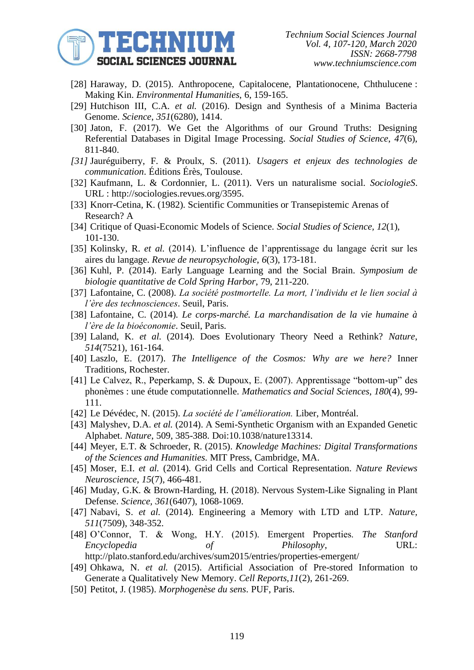

- [28] Haraway, D. (2015). Anthropocene, Capitalocene, Plantationocene, Chthulucene : Making Kin. *Environmental Humanities*, 6, 159-165.
- [29] Hutchison III, C.A. *et al.* (2016). Design and Synthesis of a Minima Bacteria Genome. *Science*, *351*(6280), 1414.
- [30] Jaton, F. (2017). We Get the Algorithms of our Ground Truths: Designing Referential Databases in Digital Image Processing. *Social Studies of Science*, *47*(6), 811-840.
- *[31]* Jauréguiberry, F. & Proulx, S. (2011). *Usagers et enjeux des technologies de communication*. Éditions Érès, Toulouse.
- [32] Kaufmann, L. & Cordonnier, L. (2011). Vers un naturalisme social. *SociologieS*. URL : http://sociologies.revues.org/3595.
- [33] Knorr-Cetina, K. (1982). Scientific Communities or Transepistemic Arenas of Research? A
- [34] Critique of Quasi-Economic Models of Science. *Social Studies of Science, 12*(1), 101-130.
- [35] Kolinsky, R. *et al.* (2014). L'influence de l'apprentissage du langage écrit sur les aires du langage. *Revue de neuropsychologie*, *6*(3), 173-181.
- [36] Kuhl, P. (2014). Early Language Learning and the Social Brain. *Symposium de biologie quantitative de Cold Spring Harbor*, 79, 211-220.
- [37] Lafontaine, C. (2008). *La société postmortelle. La mort, l'individu et le lien social à l'ère des technosciences*. Seuil, Paris.
- [38] Lafontaine, C. (2014). *Le corps-marché. La marchandisation de la vie humaine à l'ère de la bioéconomie*. Seuil, Paris.
- [39] Laland, K. *et al*. (2014). Does Evolutionary Theory Need a Rethink? *Nature*, *514*(7521), 161-164.
- [40] Laszlo, E. (2017). *The Intelligence of the Cosmos: Why are we here?* Inner Traditions, Rochester.
- [41] Le Calvez, R., Peperkamp, S. & Dupoux, E. (2007). Apprentissage "bottom-up" des phonèmes : une étude computationnelle. *Mathematics and Social Sciences*, *180*(4), 99- 111.
- [42] Le Dévédec, N. (2015). *La société de l'amélioration.* Liber, Montréal.
- [43] Malyshev, D.A. *et al.* (2014). A Semi-Synthetic Organism with an Expanded Genetic Alphabet. *Nature*, 509, 385-388. Doi:10.1038/nature13314.
- [44] Meyer, E.T. & Schroeder, R. (2015). *Knowledge Machines: Digital Transformations of the Sciences and Humanities*. MIT Press, Cambridge, MA.
- [45] Moser, E.I. *et al.* (2014). Grid Cells and Cortical Representation. *Nature Reviews Neuroscience*, *15*(7), 466-481.
- [46] Muday, G.K. & Brown-Harding, H. (2018). Nervous System-Like Signaling in Plant Defense. *Science, 361*(6407), 1068-1069.
- [47] Nabavi, S. *et al.* (2014). Engineering a Memory with LTD and LTP. *Nature, 511*(7509), 348-352.
- [48] O'Connor, T. & Wong, H.Y. (2015). Emergent Properties. *The Stanford Encyclopedia of Philosophy*, URL:

http://plato.stanford.edu/archives/sum2015/entries/properties-emergent/

- [49] Ohkawa, N. *et al.* (2015). Artificial Association of Pre-stored Information to Generate a Qualitatively New Memory. *Cell Reports,11*(2), 261-269.
- [50] Petitot, J. (1985). *Morphogenèse du sens*. PUF, Paris.